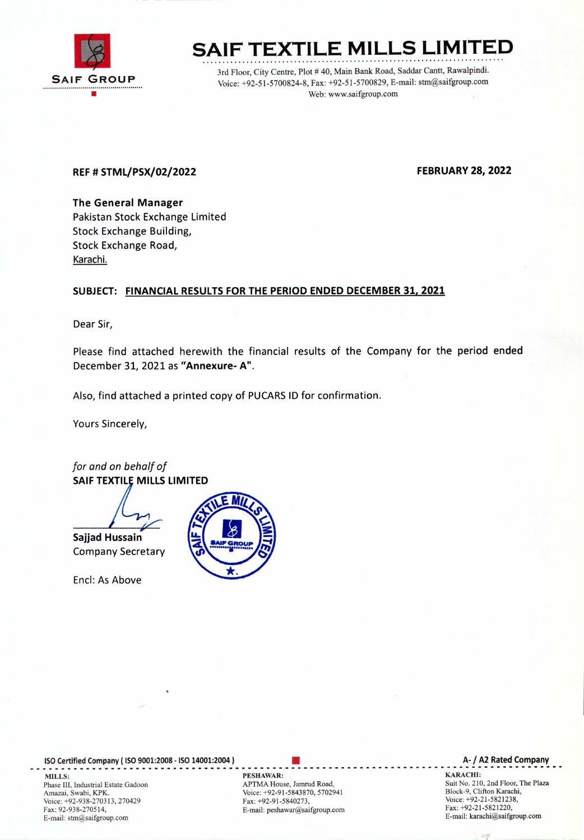

# SAIF TEXTILE MILLS LIMITED

3rd Floor, City Centre, Plot # 40, Main Bank Road, Saddar Cantt, Rawalpindi. Voice: +92-51-5700824-8, Fax: +92-51-5700829, E-mail: stm@saifgroup.com Web: www.saifgroup.com

### REF# STML/PSX/02/2022 FEBRUARY28, 2022

The General Manager Pakistan Stock Exchange Limited Stock Exchange Building, Stock Exchange Road, Karachi.

#### SUBJECT: FINANCIAL RESULTS FOR THE PERIOD ENDED DECEMBER 31, 2021

Dear Sir,

Please find attached herewith the financial results of the Company for the period ended December 31,2021 as "Annexure- A".

Also, find attached a printed copy of PUCARSID for confirmation.

Yours Sincerely,

*for and on behalf of* SAIF TEXTILE MILLS LIMITED

Sajjad Hussain Company Secretary

Encl: As Above



ISOCertified Company ( ISO9001:2008 - ISO14001:2004 ) • **--\_ .. ----------\_ .. \_-------------------------\_ .. ------------------------------------------** MILLS: SARACHI: PESHAWAR: PESHAWAR: SARACHI: SARACHI: SARACHI: SARACHI: SARACHI: SARACHI: SARACHI: SARACHI: SARACHI: SARACHI: SARACHI: SARACHI: SARACHI: SARACHI: SARACHI: SARACHI: SARACHI: SARACHI: SARACHI: SARACHI: SARACH Phase III, Industrial Estate Gadoon Amazai, Swabi, KPK. Voice: +92-938-270313,270429 Fax: 92-938-270514, E-mail: stm@saifgroup.com

APTMA House, Jamrud Road, Voice: +92-91-5843870, 5702941 Fax: +92-91-5840273, E-mail: peshawar@saifgroup.com

#### A- / A2 Rated Company

Suit No. 210, 2nd Floor, The Plaza Block-9, Clifton Karachi, Voice: +92-21-5821238, Fax: +92-21-5821220, E-mail: karachi@saifgroup.com